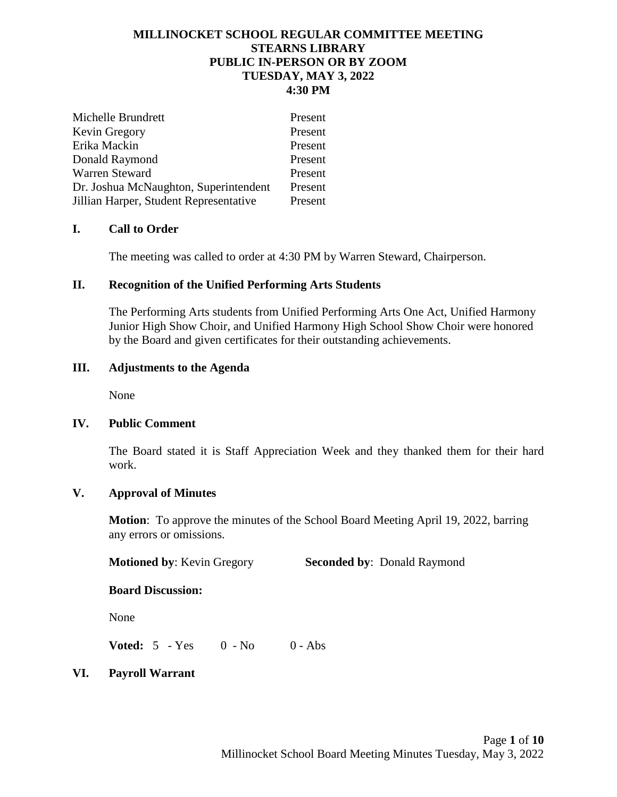### **MILLINOCKET SCHOOL REGULAR COMMITTEE MEETING STEARNS LIBRARY PUBLIC IN-PERSON OR BY ZOOM TUESDAY, MAY 3, 2022 4:30 PM**

| Michelle Brundrett                     | Present |
|----------------------------------------|---------|
| Kevin Gregory                          | Present |
| Erika Mackin                           | Present |
| Donald Raymond                         | Present |
| Warren Steward                         | Present |
| Dr. Joshua McNaughton, Superintendent  | Present |
| Jillian Harper, Student Representative | Present |

### **I. Call to Order**

The meeting was called to order at 4:30 PM by Warren Steward, Chairperson.

### **II. Recognition of the Unified Performing Arts Students**

The Performing Arts students from Unified Performing Arts One Act, Unified Harmony Junior High Show Choir, and Unified Harmony High School Show Choir were honored by the Board and given certificates for their outstanding achievements.

### **III. Adjustments to the Agenda**

None

### **IV. Public Comment**

The Board stated it is Staff Appreciation Week and they thanked them for their hard work.

#### **V. Approval of Minutes**

**Motion**: To approve the minutes of the School Board Meeting April 19, 2022, barring any errors or omissions.

**Motioned by: Kevin Gregory <b>Seconded by:** Donald Raymond

#### **Board Discussion:**

None

**Voted:** 5 - Yes 0 - No 0 - Abs

### **VI. Payroll Warrant**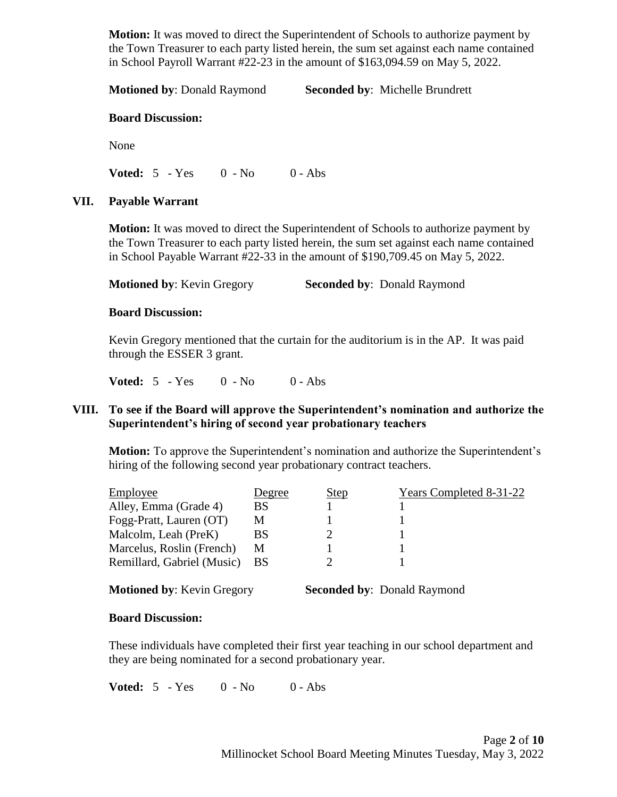**Motion:** It was moved to direct the Superintendent of Schools to authorize payment by the Town Treasurer to each party listed herein, the sum set against each name contained in School Payroll Warrant #22-23 in the amount of \$163,094.59 on May 5, 2022.

**Motioned by**: Donald Raymond **Seconded by**: Michelle Brundrett

#### **Board Discussion:**

None

**Voted:** 5 - Yes 0 - No 0 - Abs

### **VII. Payable Warrant**

**Motion:** It was moved to direct the Superintendent of Schools to authorize payment by the Town Treasurer to each party listed herein, the sum set against each name contained in School Payable Warrant #22-33 in the amount of \$190,709.45 on May 5, 2022.

**Motioned by: Kevin Gregory Seconded by: Donald Raymond** 

### **Board Discussion:**

Kevin Gregory mentioned that the curtain for the auditorium is in the AP. It was paid through the ESSER 3 grant.

**Voted:** 5 - Yes 0 - No 0 - Abs

## **VIII. To see if the Board will approve the Superintendent's nomination and authorize the Superintendent's hiring of second year probationary teachers**

**Motion:** To approve the Superintendent's nomination and authorize the Superintendent's hiring of the following second year probationary contract teachers.

| Employee                   | Degree    | <u>Step</u> | Years Completed 8-31-22 |
|----------------------------|-----------|-------------|-------------------------|
| Alley, Emma (Grade 4)      | BS        |             |                         |
| Fogg-Pratt, Lauren (OT)    | M         |             |                         |
| Malcolm, Leah (PreK)       | BS        |             |                         |
| Marcelus, Roslin (French)  | М         |             |                         |
| Remillard, Gabriel (Music) | <b>BS</b> |             |                         |
|                            |           |             |                         |

**Motioned by: Kevin Gregory Seconded by: Donald Raymond** 

### **Board Discussion:**

These individuals have completed their first year teaching in our school department and they are being nominated for a second probationary year.

**Voted:** 5 - Yes 0 - No 0 - Abs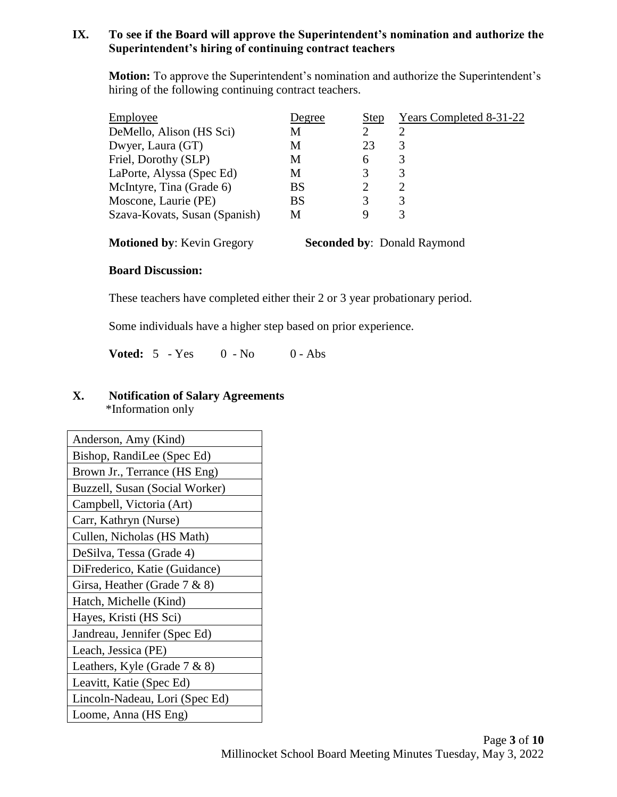# **IX. To see if the Board will approve the Superintendent's nomination and authorize the Superintendent's hiring of continuing contract teachers**

**Motion:** To approve the Superintendent's nomination and authorize the Superintendent's hiring of the following continuing contract teachers.

| Employee                      | Degree | <b>Step</b> | Years Completed 8-31-22 |
|-------------------------------|--------|-------------|-------------------------|
| DeMello, Alison (HS Sci)      | M      |             | ာ                       |
| Dwyer, Laura (GT)             | M      | 23          | 3                       |
| Friel, Dorothy (SLP)          | M      | 6           | 3                       |
| LaPorte, Alyssa (Spec Ed)     | М      | 3           | 3                       |
| McIntyre, Tina (Grade 6)      | BS     |             |                         |
| Moscone, Laurie (PE)          | BS     | 3           | 3                       |
| Szava-Kovats, Susan (Spanish) | М      |             |                         |

**Motioned by: Kevin Gregory Seconded by: Donald Raymond** 

# **Board Discussion:**

These teachers have completed either their 2 or 3 year probationary period.

Some individuals have a higher step based on prior experience.

**Voted:** 5 - Yes 0 - No 0 - Abs

## **X. Notification of Salary Agreements** \*Information only

| Anderson, Amy (Kind)            |
|---------------------------------|
| Bishop, RandiLee (Spec Ed)      |
| Brown Jr., Terrance (HS Eng)    |
| Buzzell, Susan (Social Worker)  |
| Campbell, Victoria (Art)        |
| Carr, Kathryn (Nurse)           |
| Cullen, Nicholas (HS Math)      |
| DeSilva, Tessa (Grade 4)        |
| DiFrederico, Katie (Guidance)   |
| Girsa, Heather (Grade $7 & 8$ ) |
| Hatch, Michelle (Kind)          |
| Hayes, Kristi (HS Sci)          |
| Jandreau, Jennifer (Spec Ed)    |
| Leach, Jessica (PE)             |
| Leathers, Kyle (Grade 7 & 8)    |
| Leavitt, Katie (Spec Ed)        |
| Lincoln-Nadeau, Lori (Spec Ed)  |
| Loome, Anna (HS Eng)            |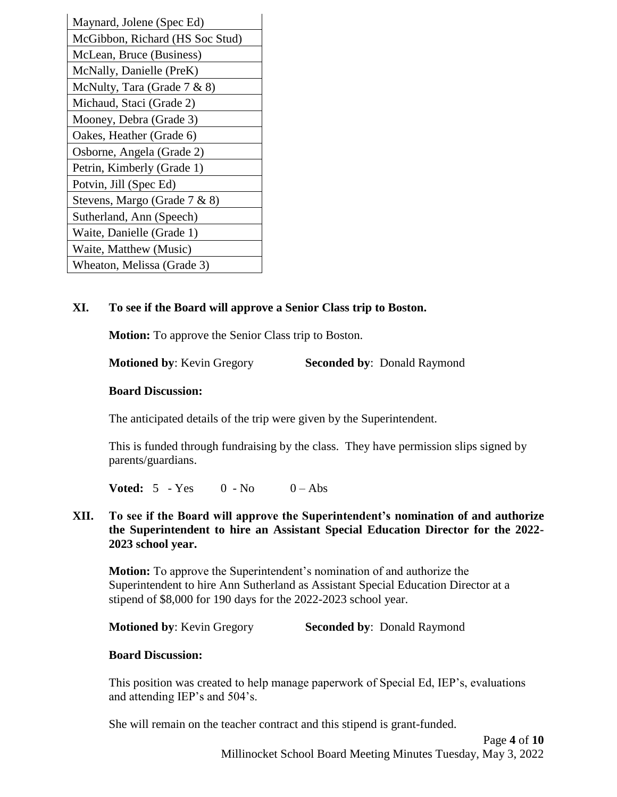| Maynard, Jolene (Spec Ed)       |
|---------------------------------|
| McGibbon, Richard (HS Soc Stud) |
| McLean, Bruce (Business)        |
| McNally, Danielle (PreK)        |
| McNulty, Tara (Grade 7 & 8)     |
| Michaud, Staci (Grade 2)        |
| Mooney, Debra (Grade 3)         |
| Oakes, Heather (Grade 6)        |
| Osborne, Angela (Grade 2)       |
| Petrin, Kimberly (Grade 1)      |
| Potvin, Jill (Spec Ed)          |
| Stevens, Margo (Grade 7 & 8)    |
| Sutherland, Ann (Speech)        |
| Waite, Danielle (Grade 1)       |
| Waite, Matthew (Music)          |
| Wheaton, Melissa (Grade 3)      |

# **XI. To see if the Board will approve a Senior Class trip to Boston.**

**Motion:** To approve the Senior Class trip to Boston.

**Motioned by: Kevin Gregory <b>Seconded by:** Donald Raymond

#### **Board Discussion:**

The anticipated details of the trip were given by the Superintendent.

This is funded through fundraising by the class. They have permission slips signed by parents/guardians.

**Voted:**  $5 - Yes$  0 - No 0 - Abs

**XII. To see if the Board will approve the Superintendent's nomination of and authorize the Superintendent to hire an Assistant Special Education Director for the 2022- 2023 school year.**

**Motion:** To approve the Superintendent's nomination of and authorize the Superintendent to hire Ann Sutherland as Assistant Special Education Director at a stipend of \$8,000 for 190 days for the 2022-2023 school year.

**Motioned by: Kevin Gregory <b>Seconded by:** Donald Raymond

### **Board Discussion:**

This position was created to help manage paperwork of Special Ed, IEP's, evaluations and attending IEP's and 504's.

She will remain on the teacher contract and this stipend is grant-funded.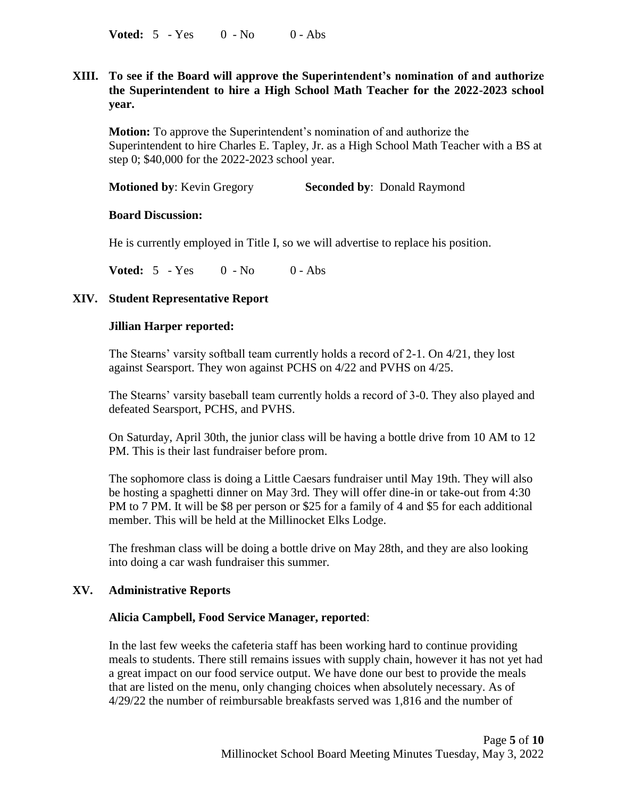**Voted:** 5 - Yes 0 - No 0 - Abs

# **XIII. To see if the Board will approve the Superintendent's nomination of and authorize the Superintendent to hire a High School Math Teacher for the 2022-2023 school year.**

**Motion:** To approve the Superintendent's nomination of and authorize the Superintendent to hire Charles E. Tapley, Jr. as a High School Math Teacher with a BS at step 0; \$40,000 for the 2022-2023 school year.

**Motioned by: Kevin Gregory <b>Seconded by:** Donald Raymond

#### **Board Discussion:**

He is currently employed in Title I, so we will advertise to replace his position.

**Voted:** 5 - Yes 0 - No 0 - Abs

### **XIV. Student Representative Report**

#### **Jillian Harper reported:**

The Stearns' varsity softball team currently holds a record of 2-1. On 4/21, they lost against Searsport. They won against PCHS on 4/22 and PVHS on 4/25.

The Stearns' varsity baseball team currently holds a record of 3-0. They also played and defeated Searsport, PCHS, and PVHS.

On Saturday, April 30th, the junior class will be having a bottle drive from 10 AM to 12 PM. This is their last fundraiser before prom.

The sophomore class is doing a Little Caesars fundraiser until May 19th. They will also be hosting a spaghetti dinner on May 3rd. They will offer dine-in or take-out from 4:30 PM to 7 PM. It will be \$8 per person or \$25 for a family of 4 and \$5 for each additional member. This will be held at the Millinocket Elks Lodge.

The freshman class will be doing a bottle drive on May 28th, and they are also looking into doing a car wash fundraiser this summer.

### **XV. Administrative Reports**

### **Alicia Campbell, Food Service Manager, reported**:

In the last few weeks the cafeteria staff has been working hard to continue providing meals to students. There still remains issues with supply chain, however it has not yet had a great impact on our food service output. We have done our best to provide the meals that are listed on the menu, only changing choices when absolutely necessary. As of 4/29/22 the number of reimbursable breakfasts served was 1,816 and the number of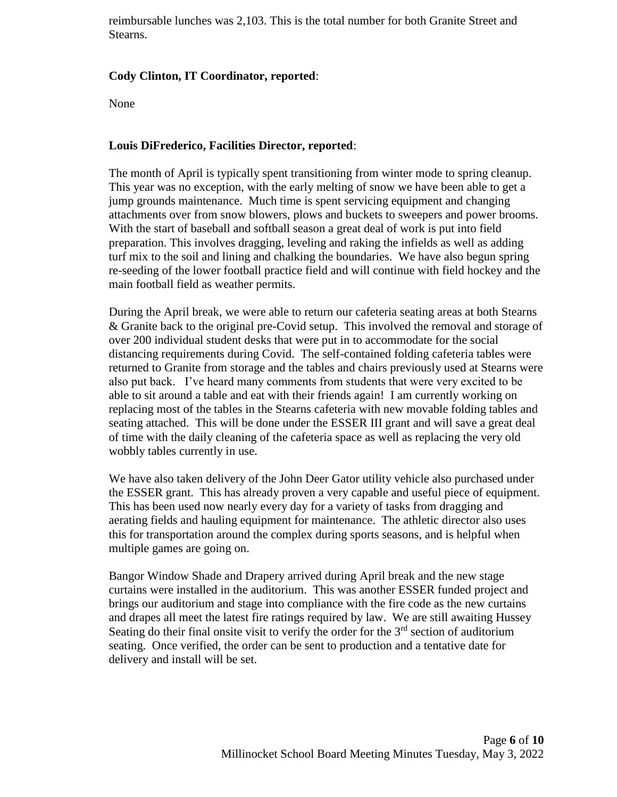reimbursable lunches was 2,103. This is the total number for both Granite Street and Stearns.

# **Cody Clinton, IT Coordinator, reported**:

None

### **Louis DiFrederico, Facilities Director, reported**:

The month of April is typically spent transitioning from winter mode to spring cleanup. This year was no exception, with the early melting of snow we have been able to get a jump grounds maintenance. Much time is spent servicing equipment and changing attachments over from snow blowers, plows and buckets to sweepers and power brooms. With the start of baseball and softball season a great deal of work is put into field preparation. This involves dragging, leveling and raking the infields as well as adding turf mix to the soil and lining and chalking the boundaries. We have also begun spring re-seeding of the lower football practice field and will continue with field hockey and the main football field as weather permits.

During the April break, we were able to return our cafeteria seating areas at both Stearns & Granite back to the original pre-Covid setup. This involved the removal and storage of over 200 individual student desks that were put in to accommodate for the social distancing requirements during Covid. The self-contained folding cafeteria tables were returned to Granite from storage and the tables and chairs previously used at Stearns were also put back. I've heard many comments from students that were very excited to be able to sit around a table and eat with their friends again! I am currently working on replacing most of the tables in the Stearns cafeteria with new movable folding tables and seating attached. This will be done under the ESSER III grant and will save a great deal of time with the daily cleaning of the cafeteria space as well as replacing the very old wobbly tables currently in use.

We have also taken delivery of the John Deer Gator utility vehicle also purchased under the ESSER grant. This has already proven a very capable and useful piece of equipment. This has been used now nearly every day for a variety of tasks from dragging and aerating fields and hauling equipment for maintenance. The athletic director also uses this for transportation around the complex during sports seasons, and is helpful when multiple games are going on.

Bangor Window Shade and Drapery arrived during April break and the new stage curtains were installed in the auditorium. This was another ESSER funded project and brings our auditorium and stage into compliance with the fire code as the new curtains and drapes all meet the latest fire ratings required by law. We are still awaiting Hussey Seating do their final onsite visit to verify the order for the  $3<sup>rd</sup>$  section of auditorium seating. Once verified, the order can be sent to production and a tentative date for delivery and install will be set.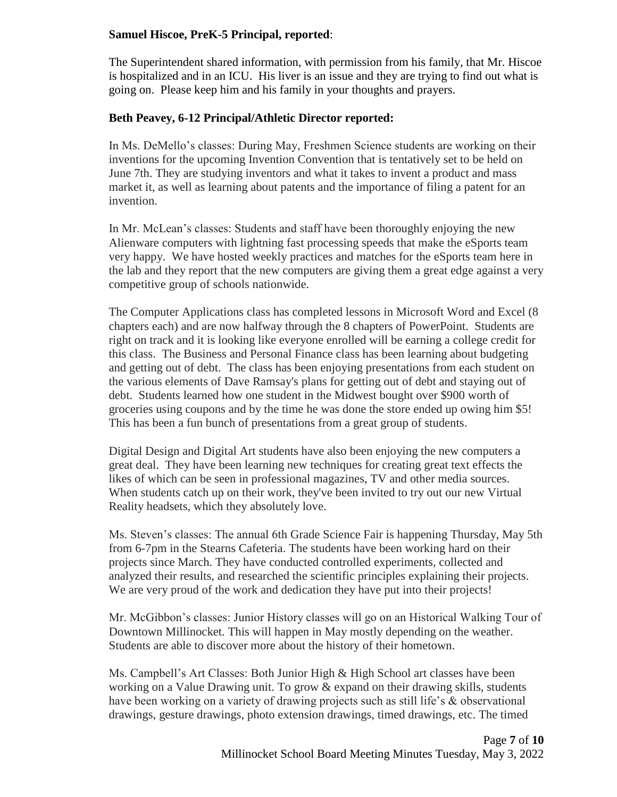## **Samuel Hiscoe, PreK-5 Principal, reported**:

The Superintendent shared information, with permission from his family, that Mr. Hiscoe is hospitalized and in an ICU. His liver is an issue and they are trying to find out what is going on. Please keep him and his family in your thoughts and prayers.

## **Beth Peavey, 6-12 Principal/Athletic Director reported:**

In Ms. DeMello's classes: During May, Freshmen Science students are working on their inventions for the upcoming Invention Convention that is tentatively set to be held on June 7th. They are studying inventors and what it takes to invent a product and mass market it, as well as learning about patents and the importance of filing a patent for an invention.

In Mr. McLean's classes: Students and staff have been thoroughly enjoying the new Alienware computers with lightning fast processing speeds that make the eSports team very happy. We have hosted weekly practices and matches for the eSports team here in the lab and they report that the new computers are giving them a great edge against a very competitive group of schools nationwide.

The Computer Applications class has completed lessons in Microsoft Word and Excel (8 chapters each) and are now halfway through the 8 chapters of PowerPoint. Students are right on track and it is looking like everyone enrolled will be earning a college credit for this class. The Business and Personal Finance class has been learning about budgeting and getting out of debt. The class has been enjoying presentations from each student on the various elements of Dave Ramsay's plans for getting out of debt and staying out of debt. Students learned how one student in the Midwest bought over \$900 worth of groceries using coupons and by the time he was done the store ended up owing him \$5! This has been a fun bunch of presentations from a great group of students.

Digital Design and Digital Art students have also been enjoying the new computers a great deal. They have been learning new techniques for creating great text effects the likes of which can be seen in professional magazines, TV and other media sources. When students catch up on their work, they've been invited to try out our new Virtual Reality headsets, which they absolutely love.

Ms. Steven's classes: The annual 6th Grade Science Fair is happening Thursday, May 5th from 6-7pm in the Stearns Cafeteria. The students have been working hard on their projects since March. They have conducted controlled experiments, collected and analyzed their results, and researched the scientific principles explaining their projects. We are very proud of the work and dedication they have put into their projects!

Mr. McGibbon's classes: Junior History classes will go on an Historical Walking Tour of Downtown Millinocket. This will happen in May mostly depending on the weather. Students are able to discover more about the history of their hometown.

Ms. Campbell's Art Classes: Both Junior High & High School art classes have been working on a Value Drawing unit. To grow & expand on their drawing skills, students have been working on a variety of drawing projects such as still life's & observational drawings, gesture drawings, photo extension drawings, timed drawings, etc. The timed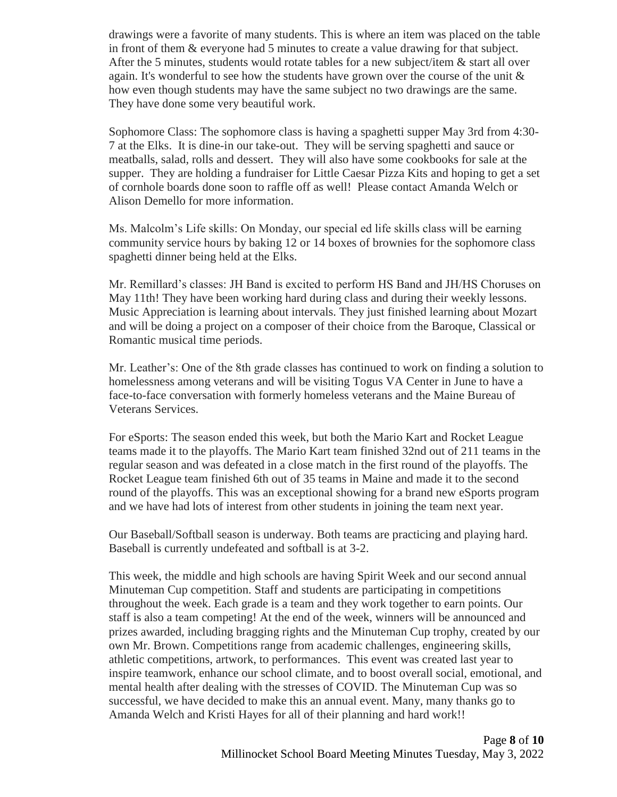drawings were a favorite of many students. This is where an item was placed on the table in front of them & everyone had 5 minutes to create a value drawing for that subject. After the 5 minutes, students would rotate tables for a new subject/item  $\&$  start all over again. It's wonderful to see how the students have grown over the course of the unit  $\&$ how even though students may have the same subject no two drawings are the same. They have done some very beautiful work.

Sophomore Class: The sophomore class is having a spaghetti supper May 3rd from 4:30- 7 at the Elks. It is dine-in our take-out. They will be serving spaghetti and sauce or meatballs, salad, rolls and dessert. They will also have some cookbooks for sale at the supper. They are holding a fundraiser for Little Caesar Pizza Kits and hoping to get a set of cornhole boards done soon to raffle off as well! Please contact Amanda Welch or Alison Demello for more information.

Ms. Malcolm's Life skills: On Monday, our special ed life skills class will be earning community service hours by baking 12 or 14 boxes of brownies for the sophomore class spaghetti dinner being held at the Elks.

Mr. Remillard's classes: JH Band is excited to perform HS Band and JH/HS Choruses on May 11th! They have been working hard during class and during their weekly lessons. Music Appreciation is learning about intervals. They just finished learning about Mozart and will be doing a project on a composer of their choice from the Baroque, Classical or Romantic musical time periods.

Mr. Leather's: One of the 8th grade classes has continued to work on finding a solution to homelessness among veterans and will be visiting Togus VA Center in June to have a face-to-face conversation with formerly homeless veterans and the Maine Bureau of Veterans Services.

For eSports: The season ended this week, but both the Mario Kart and Rocket League teams made it to the playoffs. The Mario Kart team finished 32nd out of 211 teams in the regular season and was defeated in a close match in the first round of the playoffs. The Rocket League team finished 6th out of 35 teams in Maine and made it to the second round of the playoffs. This was an exceptional showing for a brand new eSports program and we have had lots of interest from other students in joining the team next year.

Our Baseball/Softball season is underway. Both teams are practicing and playing hard. Baseball is currently undefeated and softball is at 3-2.

This week, the middle and high schools are having Spirit Week and our second annual Minuteman Cup competition. Staff and students are participating in competitions throughout the week. Each grade is a team and they work together to earn points. Our staff is also a team competing! At the end of the week, winners will be announced and prizes awarded, including bragging rights and the Minuteman Cup trophy, created by our own Mr. Brown. Competitions range from academic challenges, engineering skills, athletic competitions, artwork, to performances. This event was created last year to inspire teamwork, enhance our school climate, and to boost overall social, emotional, and mental health after dealing with the stresses of COVID. The Minuteman Cup was so successful, we have decided to make this an annual event. Many, many thanks go to Amanda Welch and Kristi Hayes for all of their planning and hard work!!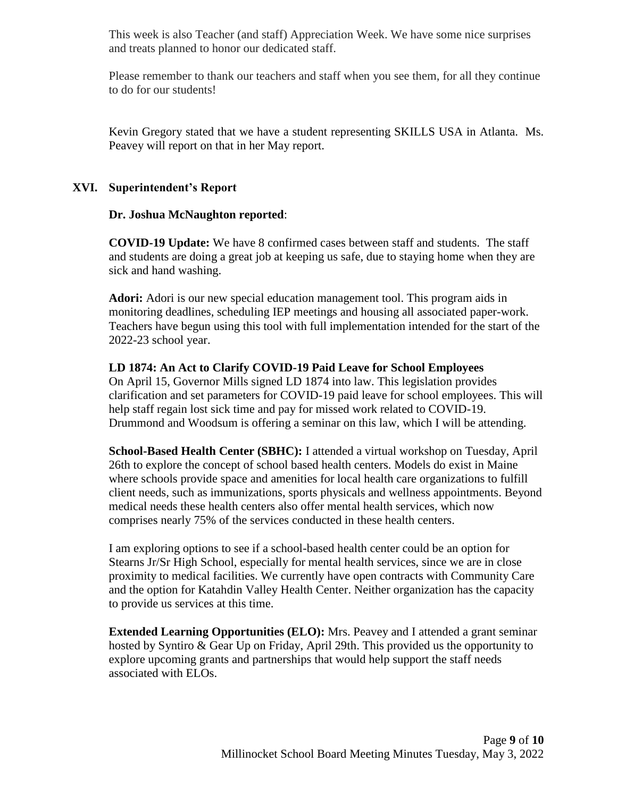This week is also Teacher (and staff) Appreciation Week. We have some nice surprises and treats planned to honor our dedicated staff.

Please remember to thank our teachers and staff when you see them, for all they continue to do for our students!

Kevin Gregory stated that we have a student representing SKILLS USA in Atlanta. Ms. Peavey will report on that in her May report.

# **XVI. Superintendent's Report**

### **Dr. Joshua McNaughton reported**:

**COVID-19 Update:** We have 8 confirmed cases between staff and students. The staff and students are doing a great job at keeping us safe, due to staying home when they are sick and hand washing.

**Adori:** Adori is our new special education management tool. This program aids in monitoring deadlines, scheduling IEP meetings and housing all associated paper-work. Teachers have begun using this tool with full implementation intended for the start of the 2022-23 school year.

### **LD 1874: An Act to Clarify COVID-19 Paid Leave for School Employees**

On April 15, Governor Mills signed LD 1874 into law. This legislation provides clarification and set parameters for COVID-19 paid leave for school employees. This will help staff regain lost sick time and pay for missed work related to COVID-19. Drummond and Woodsum is offering a seminar on this law, which I will be attending.

**School-Based Health Center (SBHC):** I attended a virtual workshop on Tuesday, April 26th to explore the concept of school based health centers. Models do exist in Maine where schools provide space and amenities for local health care organizations to fulfill client needs, such as immunizations, sports physicals and wellness appointments. Beyond medical needs these health centers also offer mental health services, which now comprises nearly 75% of the services conducted in these health centers.

I am exploring options to see if a school-based health center could be an option for Stearns Jr/Sr High School, especially for mental health services, since we are in close proximity to medical facilities. We currently have open contracts with Community Care and the option for Katahdin Valley Health Center. Neither organization has the capacity to provide us services at this time.

**Extended Learning Opportunities (ELO):** Mrs. Peavey and I attended a grant seminar hosted by Syntiro & Gear Up on Friday, April 29th. This provided us the opportunity to explore upcoming grants and partnerships that would help support the staff needs associated with ELOs.